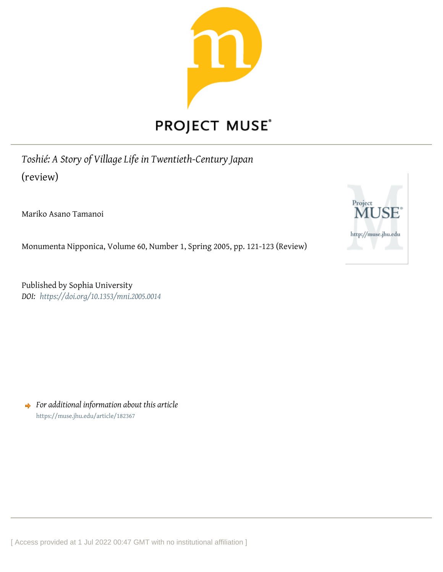

## **PROJECT MUSE®**

*Toshié: A Story of Village Life in Twentieth-Century Japan* (review)

Mariko Asano Tamanoi



Monumenta Nipponica, Volume 60, Number 1, Spring 2005, pp. 121-123 (Review)

Published by Sophia University *DOI: <https://doi.org/10.1353/mni.2005.0014>*

*For additional information about this article* <https://muse.jhu.edu/article/182367>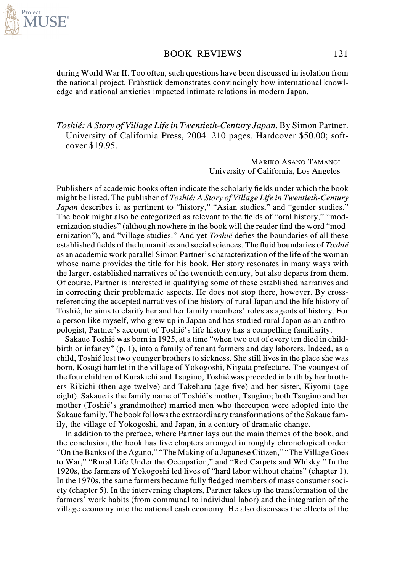

## BOOK REVIEWS 121

during World War II. Too often, such questions have been discussed in isolation from the national project. Frühstück demonstrates convincingly how international knowledge and national anxieties impacted intimate relations in modern Japan.

Toshié: A Story of Village Life in Twentieth-Century Japan. By Simon Partner. University of California Press, 2004. 210 pages. Hardcover \$50.00; softcover \$19.95.

> MARIKO ASANO TAMANOI University of California, Los Angeles

Publishers of academic books often indicate the scholarly fields under which the book might be listed. The publisher of Toshié: A Story of Village Life in Twentieth-Century Japan describes it as pertinent to "history," "Asian studies," and "gender studies." The book might also be categorized as relevant to the fields of "oral history," "modernization studies" (although nowhere in the book will the reader find the word "modernization"), and "village studies." And yet Toshié defies the boundaries of all these established fields of the humanities and social sciences. The fluid boundaries of Toshié as an academic work parallel Simon Partner's characterization of the life of the woman whose name provides the title for his book. Her story resonates in many ways with the larger, established narratives of the twentieth century, but also departs from them. Of course, Partner is interested in qualifying some of these established narratives and in correcting their problematic aspects. He does not stop there, however. By crossreferencing the accepted narratives of the history of rural Japan and the life history of Toshié, he aims to clarify her and her family members' roles as agents of history. For a person like myself, who grew up in Japan and has studied rural Japan as an anthropologist, Partner's account of Toshié's life history has a compelling familiarity.

Sakaue Toshié was born in 1925, at a time "when two out of every ten died in childbirth or infancy" (p. 1), into a family of tenant farmers and day laborers. Indeed, as a child, Toshié lost two younger brothers to sickness. She still lives in the place she was born, Kosugi hamlet in the village of Yokogoshi, Niigata prefecture. The youngest of the four children of Kurakichi and Tsugino, Toshié was preceded in birth by her brothers Rikichi (then age twelve) and Takeharu (age five) and her sister, Kiyomi (age eight). Sakaue is the family name of Toshié's mother, Tsugino; both Tsugino and her mother (Toshié's grandmother) married men who thereupon were adopted into the Sakaue family. The book follows the extraordinary transformations of the Sakaue family, the village of Yokogoshi, and Japan, in a century of dramatic change.

In addition to the preface, where Partner lays out the main themes of the book, and the conclusion, the book has five chapters arranged in roughly chronological order: "On the Banks of the Agano," "The Making of a Japanese Citizen," "The Village Goes to War," "Rural Life Under the Occupation," and "Red Carpets and Whisky." In the 1920s, the farmers of Yokogoshi led lives of "hard labor without chains" (chapter 1). In the 1970s, the same farmers became fully fledged members of mass consumer society (chapter 5). In the intervening chapters, Partner takes up the transformation of the farmers' work habits (from communal to individual labor) and the integration of the village economy into the national cash economy. He also discusses the effects of the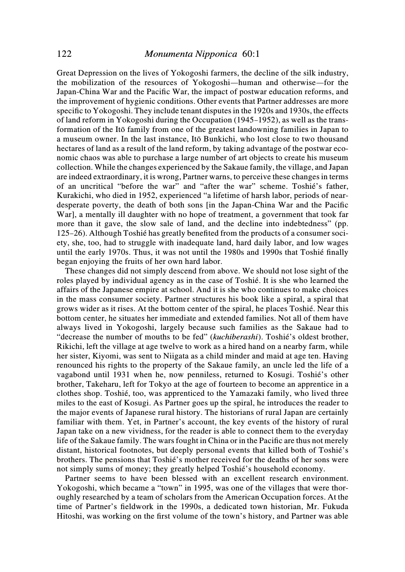Great Depression on the lives of Yokogoshi farmers, the decline of the silk industry, the mobilization of the resources of Yokogoshi—human and otherwise—for the Japan-China War and the Pacific War, the impact of postwar education reforms, and the improvement of hygienic conditions. Other events that Partner addresses are more specific to Yokogoshi. They include tenant disputes in the 1920s and 1930s, the effects of land reform in Yokogoshi during the Occupation (1945–1952), as well as the transformation of the Itô family from one of the greatest landowning families in Japan to a museum owner. In the last instance, Itô Bunkichi, who lost close to two thousand hectares of land as a result of the land reform, by taking advantage of the postwar economic chaos was able to purchase a large number of art objects to create his museum collection. While the changes experienced by the Sakaue family, the village, and Japan are indeed extraordinary, it is wrong, Partner warns, to perceive these changes in terms of an uncritical "before the war" and "after the war" scheme. Toshié's father, Kurakichi, who died in 1952, experienced "a lifetime of harsh labor, periods of neardesperate poverty, the death of both sons [in the Japan-China War and the Pacific War], a mentally ill daughter with no hope of treatment, a government that took far more than it gave, the slow sale of land, and the decline into indebtedness" (pp. 125–26). Although Toshié has greatly benefited from the products of a consumer society, she, too, had to struggle with inadequate land, hard daily labor, and low wages until the early 1970s. Thus, it was not until the 1980s and 1990s that Toshié finally began enjoying the fruits of her own hard labor.

These changes did not simply descend from above. We should not lose sight of the roles played by individual agency as in the case of Toshié. It is she who learned the affairs of the Japanese empire at school. And it is she who continues to make choices in the mass consumer society. Partner structures his book like a spiral, a spiral that grows wider as it rises. At the bottom center of the spiral, he places Toshié. Near this bottom center, he situates her immediate and extended families. Not all of them have always lived in Yokogoshi, largely because such families as the Sakaue had to "decrease the number of mouths to be fed" (kuchiberashi). Toshié's oldest brother, Rikichi, left the village at age twelve to work as a hired hand on a nearby farm, while her sister, Kiyomi, was sent to Niigata as a child minder and maid at age ten. Having renounced his rights to the property of the Sakaue family, an uncle led the life of a vagabond until 1931 when he, now penniless, returned to Kosugi. Toshié's other brother, Takeharu, left for Tokyo at the age of fourteen to become an apprentice in a clothes shop. Toshié, too, was apprenticed to the Yamazaki family, who lived three miles to the east of Kosugi. As Partner goes up the spiral, he introduces the reader to the major events of Japanese rural history. The historians of rural Japan are certainly familiar with them. Yet, in Partner's account, the key events of the history of rural Japan take on a new vividness, for the reader is able to connect them to the everyday life of the Sakaue family. The wars fought in China or in the Pacific are thus not merely distant, historical footnotes, but deeply personal events that killed both of Toshié's brothers. The pensions that Toshié's mother received for the deaths of her sons were not simply sums of money; they greatly helped Toshié's household economy.

Partner seems to have been blessed with an excellent research environment. Yokogoshi, which became a "town" in 1995, was one of the villages that were thoroughly researched by a team of scholars from the American Occupation forces. At the time of Partner's fieldwork in the 1990s, a dedicated town historian, Mr. Fukuda Hitoshi, was working on the first volume of the town's history, and Partner was able